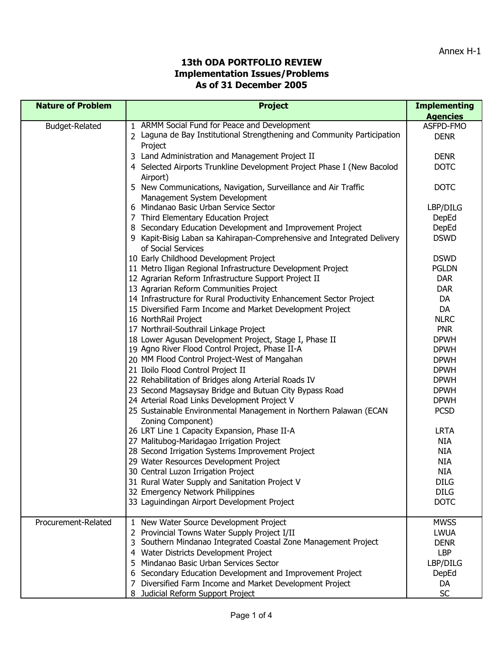| <b>Nature of Problem</b> | <b>Project</b>                                                                                  | <b>Implementing</b> |
|--------------------------|-------------------------------------------------------------------------------------------------|---------------------|
|                          |                                                                                                 | <b>Agencies</b>     |
| Budget-Related           | 1 ARMM Social Fund for Peace and Development                                                    | ASFPD-FMO           |
|                          | 2 Laguna de Bay Institutional Strengthening and Community Participation                         | <b>DENR</b>         |
|                          | Project                                                                                         |                     |
|                          | 3 Land Administration and Management Project II                                                 | <b>DENR</b>         |
|                          | 4 Selected Airports Trunkline Development Project Phase I (New Bacolod                          | <b>DOTC</b>         |
|                          | Airport)                                                                                        |                     |
|                          | 5 New Communications, Navigation, Surveillance and Air Traffic<br>Management System Development | <b>DOTC</b>         |
|                          | 6 Mindanao Basic Urban Service Sector                                                           | LBP/DILG            |
|                          | 7 Third Elementary Education Project                                                            | DepEd               |
|                          | 8 Secondary Education Development and Improvement Project                                       | DepEd               |
|                          | 9 Kapit-Bisig Laban sa Kahirapan-Comprehensive and Integrated Delivery                          | <b>DSWD</b>         |
|                          | of Social Services                                                                              |                     |
|                          | 10 Early Childhood Development Project                                                          | <b>DSWD</b>         |
|                          | 11 Metro Iligan Regional Infrastructure Development Project                                     | <b>PGLDN</b>        |
|                          | 12 Agrarian Reform Infrastructure Support Project II                                            | <b>DAR</b>          |
|                          | 13 Agrarian Reform Communities Project                                                          | <b>DAR</b>          |
|                          | 14 Infrastructure for Rural Productivity Enhancement Sector Project                             | DA                  |
|                          | 15 Diversified Farm Income and Market Development Project                                       | DA                  |
|                          | 16 NorthRail Project                                                                            | <b>NLRC</b>         |
|                          | 17 Northrail-Southrail Linkage Project                                                          | <b>PNR</b>          |
|                          | 18 Lower Agusan Development Project, Stage I, Phase II                                          | <b>DPWH</b>         |
|                          | 19 Agno River Flood Control Project, Phase II-A                                                 | <b>DPWH</b>         |
|                          | 20 MM Flood Control Project-West of Mangahan                                                    | <b>DPWH</b>         |
|                          | 21 Iloilo Flood Control Project II                                                              | <b>DPWH</b>         |
|                          | 22 Rehabilitation of Bridges along Arterial Roads IV                                            | <b>DPWH</b>         |
|                          | 23 Second Magsaysay Bridge and Butuan City Bypass Road                                          | <b>DPWH</b>         |
|                          | 24 Arterial Road Links Development Project V                                                    | <b>DPWH</b>         |
|                          | 25 Sustainable Environmental Management in Northern Palawan (ECAN                               | <b>PCSD</b>         |
|                          | Zoning Component)                                                                               |                     |
|                          | 26 LRT Line 1 Capacity Expansion, Phase II-A                                                    | <b>LRTA</b>         |
|                          | 27 Malitubog-Maridagao Irrigation Project                                                       | NIA                 |
|                          | 28 Second Irrigation Systems Improvement Project                                                | <b>NIA</b>          |
|                          | 29 Water Resources Development Project                                                          | <b>NIA</b>          |
|                          | 30 Central Luzon Irrigation Project                                                             | <b>NIA</b>          |
|                          | 31 Rural Water Supply and Sanitation Project V                                                  | <b>DILG</b>         |
|                          | 32 Emergency Network Philippines                                                                | <b>DILG</b>         |
|                          | 33 Laguindingan Airport Development Project                                                     | <b>DOTC</b>         |
| Procurement-Related      | 1 New Water Source Development Project                                                          | <b>MWSS</b>         |
|                          | Provincial Towns Water Supply Project I/II                                                      | <b>LWUA</b>         |
|                          | Southern Mindanao Integrated Coastal Zone Management Project<br>3                               | <b>DENR</b>         |
|                          | 4 Water Districts Development Project                                                           | LBP                 |
|                          | Mindanao Basic Urban Services Sector                                                            | LBP/DILG            |
|                          | 6 Secondary Education Development and Improvement Project                                       | DepEd               |
|                          | 7 Diversified Farm Income and Market Development Project                                        | DA                  |
|                          | 8 Judicial Reform Support Project                                                               | <b>SC</b>           |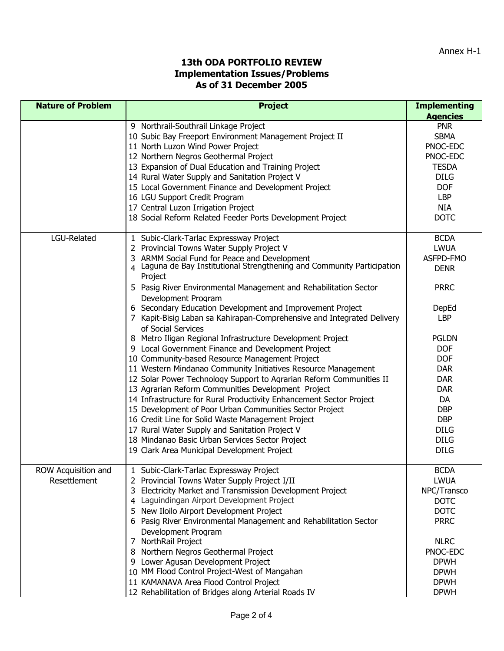| <b>Nature of Problem</b>            | <b>Project</b>                                                                                                                                                                                                                                                                                                                                                                                                                                                                                                                                                                                                                                                                                                                                                                                                                                                                                                                                                                                                                                                                                                                                                                                    | <b>Implementing</b><br><b>Agencies</b>                                                                                                                                                                                                                            |
|-------------------------------------|---------------------------------------------------------------------------------------------------------------------------------------------------------------------------------------------------------------------------------------------------------------------------------------------------------------------------------------------------------------------------------------------------------------------------------------------------------------------------------------------------------------------------------------------------------------------------------------------------------------------------------------------------------------------------------------------------------------------------------------------------------------------------------------------------------------------------------------------------------------------------------------------------------------------------------------------------------------------------------------------------------------------------------------------------------------------------------------------------------------------------------------------------------------------------------------------------|-------------------------------------------------------------------------------------------------------------------------------------------------------------------------------------------------------------------------------------------------------------------|
|                                     | 9 Northrail-Southrail Linkage Project<br>10 Subic Bay Freeport Environment Management Project II<br>11 North Luzon Wind Power Project<br>12 Northern Negros Geothermal Project<br>13 Expansion of Dual Education and Training Project<br>14 Rural Water Supply and Sanitation Project V<br>15 Local Government Finance and Development Project<br>16 LGU Support Credit Program<br>17 Central Luzon Irrigation Project<br>18 Social Reform Related Feeder Ports Development Project                                                                                                                                                                                                                                                                                                                                                                                                                                                                                                                                                                                                                                                                                                               | <b>PNR</b><br><b>SBMA</b><br>PNOC-EDC<br>PNOC-EDC<br><b>TESDA</b><br><b>DILG</b><br><b>DOF</b><br><b>LBP</b><br><b>NIA</b><br><b>DOTC</b>                                                                                                                         |
| LGU-Related                         | 1 Subic-Clark-Tarlac Expressway Project<br>2 Provincial Towns Water Supply Project V<br>3 ARMM Social Fund for Peace and Development<br>4 Laguna de Bay Institutional Strengthening and Community Participation<br>Project<br>5 Pasig River Environmental Management and Rehabilitation Sector<br>Development Program<br>6 Secondary Education Development and Improvement Project<br>7 Kapit-Bisig Laban sa Kahirapan-Comprehensive and Integrated Delivery<br>of Social Services<br>8 Metro Iligan Regional Infrastructure Development Project<br>9 Local Government Finance and Development Project<br>10 Community-based Resource Management Project<br>11 Western Mindanao Community Initiatives Resource Management<br>12 Solar Power Technology Support to Agrarian Reform Communities II<br>13 Agrarian Reform Communities Development Project<br>14 Infrastructure for Rural Productivity Enhancement Sector Project<br>15 Development of Poor Urban Communities Sector Project<br>16 Credit Line for Solid Waste Management Project<br>17 Rural Water Supply and Sanitation Project V<br>18 Mindanao Basic Urban Services Sector Project<br>19 Clark Area Municipal Development Project | <b>BCDA</b><br><b>LWUA</b><br>ASFPD-FMO<br><b>DENR</b><br><b>PRRC</b><br>DepEd<br><b>LBP</b><br><b>PGLDN</b><br><b>DOF</b><br><b>DOF</b><br><b>DAR</b><br><b>DAR</b><br><b>DAR</b><br>DA<br><b>DBP</b><br><b>DBP</b><br><b>DILG</b><br><b>DILG</b><br><b>DILG</b> |
| ROW Acquisition and<br>Resettlement | 1 Subic-Clark-Tarlac Expressway Project<br>2 Provincial Towns Water Supply Project I/II<br>3 Electricity Market and Transmission Development Project<br>4 Laguindingan Airport Development Project<br>5 New Iloilo Airport Development Project<br>6 Pasig River Environmental Management and Rehabilitation Sector<br>Development Program<br>7 NorthRail Project<br>8 Northern Negros Geothermal Project<br>9 Lower Agusan Development Project<br>10 MM Flood Control Project-West of Mangahan<br>11 KAMANAVA Area Flood Control Project<br>12 Rehabilitation of Bridges along Arterial Roads IV                                                                                                                                                                                                                                                                                                                                                                                                                                                                                                                                                                                                  | <b>BCDA</b><br><b>LWUA</b><br>NPC/Transco<br><b>DOTC</b><br><b>DOTC</b><br><b>PRRC</b><br><b>NLRC</b><br>PNOC-EDC<br><b>DPWH</b><br><b>DPWH</b><br><b>DPWH</b><br><b>DPWH</b>                                                                                     |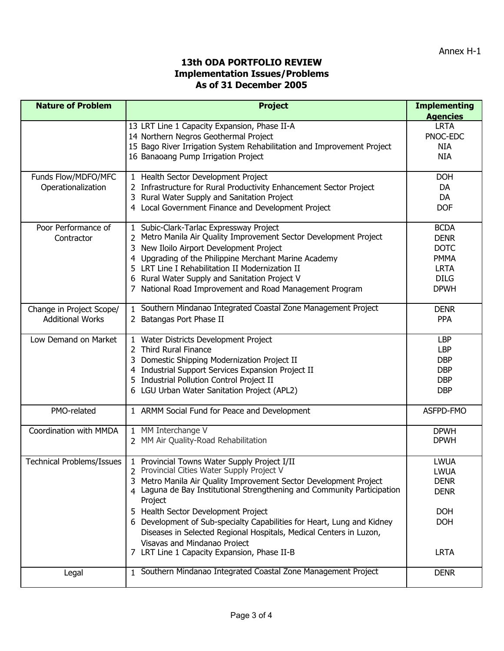| <b>Nature of Problem</b>         | <b>Project</b>                                                          | <b>Implementing</b> |
|----------------------------------|-------------------------------------------------------------------------|---------------------|
|                                  |                                                                         | <b>Agencies</b>     |
|                                  | 13 LRT Line 1 Capacity Expansion, Phase II-A                            | <b>LRTA</b>         |
|                                  | 14 Northern Negros Geothermal Project                                   | PNOC-EDC            |
|                                  | 15 Bago River Irrigation System Rehabilitation and Improvement Project  | <b>NIA</b>          |
|                                  | 16 Banaoang Pump Irrigation Project                                     | <b>NIA</b>          |
|                                  |                                                                         |                     |
| Funds Flow/MDFO/MFC              | 1 Health Sector Development Project                                     | <b>DOH</b>          |
| Operationalization               | 2 Infrastructure for Rural Productivity Enhancement Sector Project      | DA                  |
|                                  | 3 Rural Water Supply and Sanitation Project                             | DA                  |
|                                  | 4 Local Government Finance and Development Project                      | <b>DOF</b>          |
|                                  |                                                                         |                     |
| Poor Performance of              | 1 Subic-Clark-Tarlac Expressway Project                                 | <b>BCDA</b>         |
| Contractor                       | Metro Manila Air Quality Improvement Sector Development Project         | <b>DENR</b>         |
|                                  | 3 New Iloilo Airport Development Project                                | <b>DOTC</b>         |
|                                  | 4 Upgrading of the Philippine Merchant Marine Academy                   | <b>PMMA</b>         |
|                                  | 5 LRT Line I Rehabilitation II Modernization II                         | <b>LRTA</b>         |
|                                  | 6 Rural Water Supply and Sanitation Project V                           | <b>DILG</b>         |
|                                  | 7 National Road Improvement and Road Management Program                 | <b>DPWH</b>         |
|                                  |                                                                         |                     |
| Change in Project Scope/         | 1 Southern Mindanao Integrated Coastal Zone Management Project          | <b>DENR</b>         |
| <b>Additional Works</b>          | 2 Batangas Port Phase II                                                | <b>PPA</b>          |
|                                  |                                                                         |                     |
| Low Demand on Market             | 1 Water Districts Development Project                                   | <b>LBP</b>          |
|                                  | 2 Third Rural Finance                                                   | <b>LBP</b>          |
|                                  | 3 Domestic Shipping Modernization Project II                            | <b>DBP</b>          |
|                                  | 4 Industrial Support Services Expansion Project II                      | <b>DBP</b>          |
|                                  | 5 Industrial Pollution Control Project II                               | <b>DBP</b>          |
|                                  | 6 LGU Urban Water Sanitation Project (APL2)                             | <b>DBP</b>          |
|                                  |                                                                         |                     |
| PMO-related                      | 1 ARMM Social Fund for Peace and Development                            | ASFPD-FMO           |
|                                  |                                                                         |                     |
| Coordination with MMDA           | 1 MM Interchange V                                                      | <b>DPWH</b>         |
|                                  | 2 MM Air Quality-Road Rehabilitation                                    | <b>DPWH</b>         |
|                                  |                                                                         |                     |
| <b>Technical Problems/Issues</b> | 1 Provincial Towns Water Supply Project I/II                            | <b>LWUA</b>         |
|                                  | 2 Provincial Cities Water Supply Project V                              | <b>LWUA</b>         |
|                                  | 3 Metro Manila Air Quality Improvement Sector Development Project       | <b>DENR</b>         |
|                                  | 4 Laguna de Bay Institutional Strengthening and Community Participation | <b>DENR</b>         |
|                                  | Project                                                                 |                     |
|                                  | 5 Health Sector Development Project                                     | <b>DOH</b>          |
|                                  | 6 Development of Sub-specialty Capabilities for Heart, Lung and Kidney  | <b>DOH</b>          |
|                                  | Diseases in Selected Regional Hospitals, Medical Centers in Luzon,      |                     |
|                                  | Visayas and Mindanao Project                                            |                     |
|                                  | 7 LRT Line 1 Capacity Expansion, Phase II-B                             | <b>LRTA</b>         |
|                                  |                                                                         |                     |
| Legal                            | 1 Southern Mindanao Integrated Coastal Zone Management Project          | <b>DENR</b>         |
|                                  |                                                                         |                     |